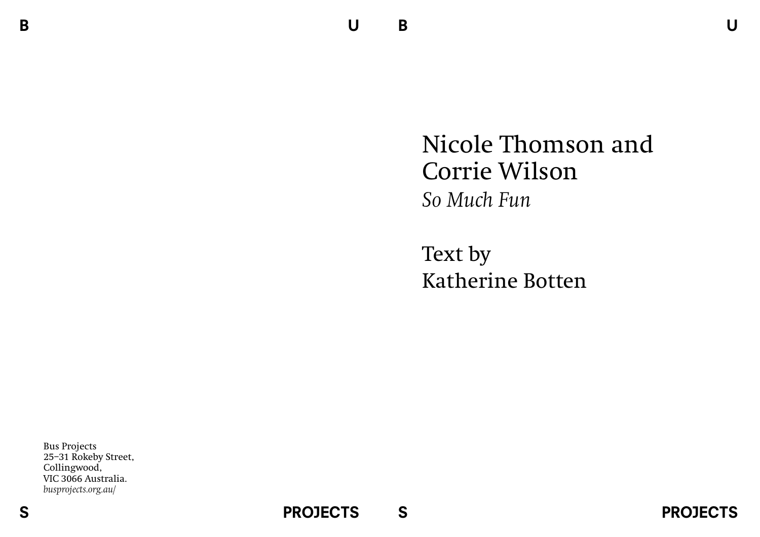B

## Nicole Thomson and Corrie Wilson *So Much Fun*

Text by Katherine Botten

Bus Projects 25–31 Rokeby Street, Collingwood, VIC 3066 Australia. *busprojects.org.au/*

S

**PROJECTS**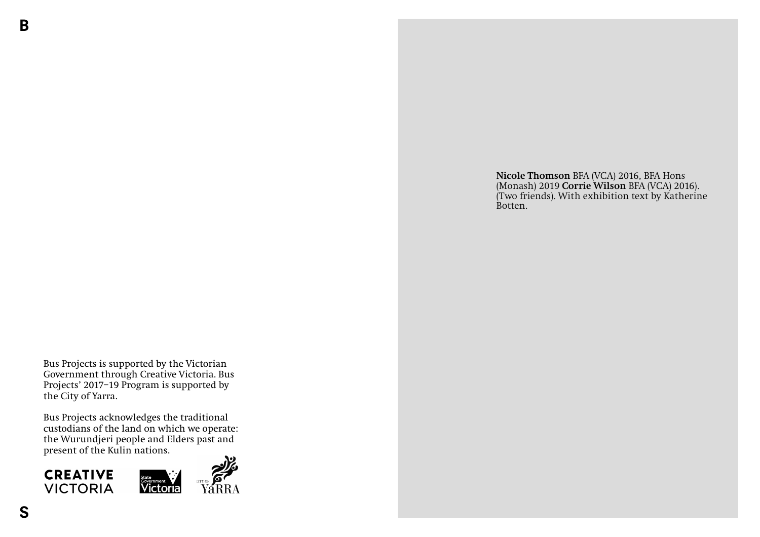B

**Nicole Thomson** BFA (VCA) 2016, BFA Hons (Monash) 2019 **Corrie Wilson** BFA (VCA) 2016). (Two friends). With exhibition text by Katherine Botten.

Bus Projects is supported by the Victorian Government through Creative Victoria. Bus Projects' 2017–19 Program is supported by the City of Yarra.

Bus Projects acknowledges the traditional custodians of the land on which we operate: the Wurundjeri people and Elders past and present of the Kulin nations.

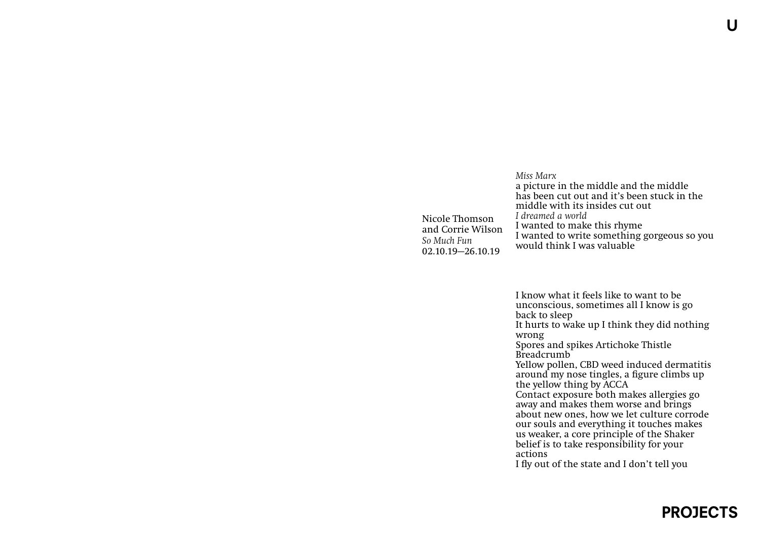## Nicole Thomson and Corrie Wilson *So Much Fun* 02.10.19—26.10.19 *Miss Marx* a picture in the middle and the middle has been cut out and it's been stuck in the middle with its insides cut out *I dreamed a world* I wanted to make this rhyme I wanted to write something gorgeous so you would think I was valuable

I know what it feels like to want to be unconscious, sometimes all I know is go back to sleep It hurts to wake up I think they did nothing wrong Spores and spikes Artichoke Thistle Breadcrumb Yellow pollen, CBD weed induced dermatitis around my nose tingles, a figure climbs up the yellow thing by ACCA Contact exposure both makes allergies go away and makes them worse and brings about new ones, how we let culture corrode our souls and everything it touches makes us weaker, a core principle of the Shaker belief is to take responsibility for your actions I fly out of the state and I don't tell you

l I

## PROJECTS